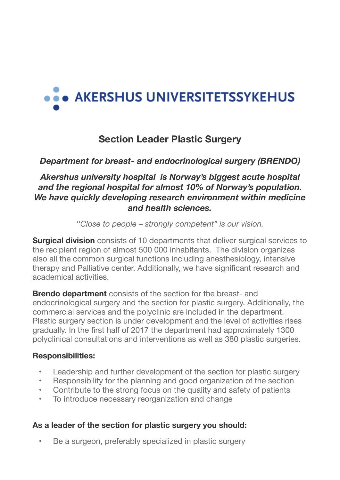# ... AKERSHUS UNIVERSITETSSYKEHUS

# **Section Leader Plastic Surgery**

# *Department for breast- and endocrinological surgery (BRENDO)*

## *Akershus university hospital is Norway's biggest acute hospital and the regional hospital for almost 10% of Norway's population. We have quickly developing research environment within medicine and health sciences.*

*''Close to people – strongly competent" is our vision.*

**Surgical division** consists of 10 departments that deliver surgical services to the recipient region of almost 500 000 inhabitants. The division organizes also all the common surgical functions including anesthesiology, intensive therapy and Palliative center. Additionally, we have significant research and academical activities.

**Brendo department** consists of the section for the breast- and endocrinological surgery and the section for plastic surgery. Additionally, the commercial services and the polyclinic are included in the department. Plastic surgery section is under development and the level of activities rises gradually. In the first half of 2017 the department had approximately 1300 polyclinical consultations and interventions as well as 380 plastic surgeries.

#### **Responsibilities:**

- Leadership and further development of the section for plastic surgery
- Responsibility for the planning and good organization of the section
- Contribute to the strong focus on the quality and safety of patients
- To introduce necessary reorganization and change

#### **As a leader of the section for plastic surgery you should:**

Be a surgeon, preferably specialized in plastic surgery